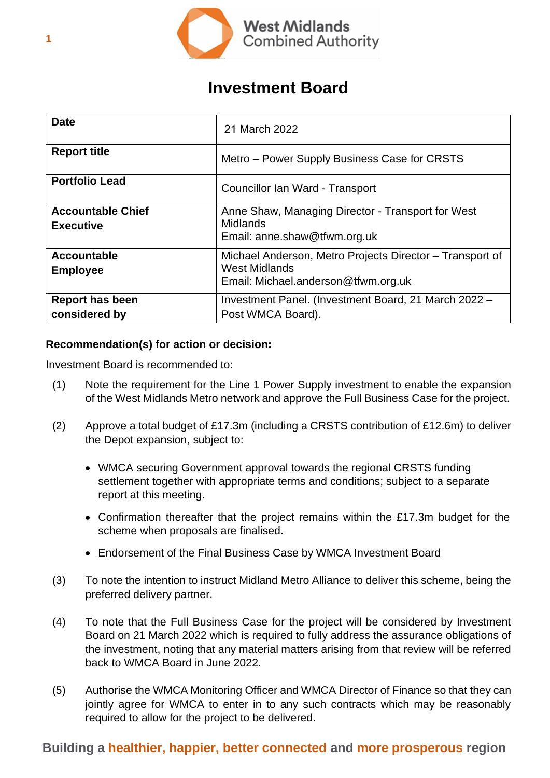

# **Investment Board**

| <b>Date</b>                                  | 21 March 2022                                                                                                           |
|----------------------------------------------|-------------------------------------------------------------------------------------------------------------------------|
| <b>Report title</b>                          | Metro – Power Supply Business Case for CRSTS                                                                            |
| <b>Portfolio Lead</b>                        | Councillor Ian Ward - Transport                                                                                         |
| <b>Accountable Chief</b><br><b>Executive</b> | Anne Shaw, Managing Director - Transport for West<br><b>Midlands</b><br>Email: anne.shaw@tfwm.org.uk                    |
| <b>Accountable</b><br><b>Employee</b>        | Michael Anderson, Metro Projects Director - Transport of<br><b>West Midlands</b><br>Email: Michael.anderson@tfwm.org.uk |
| <b>Report has been</b><br>considered by      | Investment Panel. (Investment Board, 21 March 2022 -<br>Post WMCA Board).                                               |

# **Recommendation(s) for action or decision:**

Investment Board is recommended to:

- (1) Note the requirement for the Line 1 Power Supply investment to enable the expansion of the West Midlands Metro network and approve the Full Business Case for the project.
- (2) Approve a total budget of £17.3m (including a CRSTS contribution of £12.6m) to deliver the Depot expansion, subject to:
	- WMCA securing Government approval towards the regional CRSTS funding settlement together with appropriate terms and conditions; subject to a separate report at this meeting.
	- Confirmation thereafter that the project remains within the £17.3m budget for the scheme when proposals are finalised.
	- Endorsement of the Final Business Case by WMCA Investment Board
- (3) To note the intention to instruct Midland Metro Alliance to deliver this scheme, being the preferred delivery partner.
- (4) To note that the Full Business Case for the project will be considered by Investment Board on 21 March 2022 which is required to fully address the assurance obligations of the investment, noting that any material matters arising from that review will be referred back to WMCA Board in June 2022.
- (5) Authorise the WMCA Monitoring Officer and WMCA Director of Finance so that they can jointly agree for WMCA to enter in to any such contracts which may be reasonably required to allow for the project to be delivered.

# **Building a healthier, happier, better connected and more prosperous region**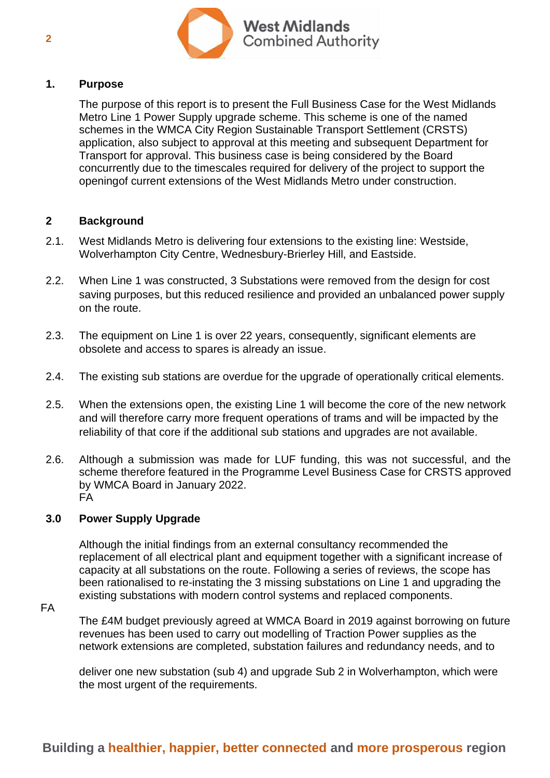

### **1. Purpose**

The purpose of this report is to present the Full Business Case for the West Midlands Metro Line 1 Power Supply upgrade scheme. This scheme is one of the named schemes in the WMCA City Region Sustainable Transport Settlement (CRSTS) application, also subject to approval at this meeting and subsequent Department for Transport for approval. This business case is being considered by the Board concurrently due to the timescales required for delivery of the project to support the openingof current extensions of the West Midlands Metro under construction.

### **2 Background**

- 2.1. West Midlands Metro is delivering four extensions to the existing line: Westside, Wolverhampton City Centre, Wednesbury-Brierley Hill, and Eastside.
- 2.2. When Line 1 was constructed, 3 Substations were removed from the design for cost saving purposes, but this reduced resilience and provided an unbalanced power supply on the route.
- 2.3. The equipment on Line 1 is over 22 years, consequently, significant elements are obsolete and access to spares is already an issue.
- 2.4. The existing sub stations are overdue for the upgrade of operationally critical elements.
- 2.5. When the extensions open, the existing Line 1 will become the core of the new network and will therefore carry more frequent operations of trams and will be impacted by the reliability of that core if the additional sub stations and upgrades are not available.
- 2.6. Although a submission was made for LUF funding, this was not successful, and the scheme therefore featured in the Programme Level Business Case for CRSTS approved by WMCA Board in January 2022. FA

#### **3.0 Power Supply Upgrade**

Although the initial findings from an external consultancy recommended the replacement of all electrical plant and equipment together with a significant increase of capacity at all substations on the route. Following a series of reviews, the scope has been rationalised to re-instating the 3 missing substations on Line 1 and upgrading the existing substations with modern control systems and replaced components.

#### FA

The £4M budget previously agreed at WMCA Board in 2019 against borrowing on future revenues has been used to carry out modelling of Traction Power supplies as the network extensions are completed, substation failures and redundancy needs, and to

deliver one new substation (sub 4) and upgrade Sub 2 in Wolverhampton, which were the most urgent of the requirements.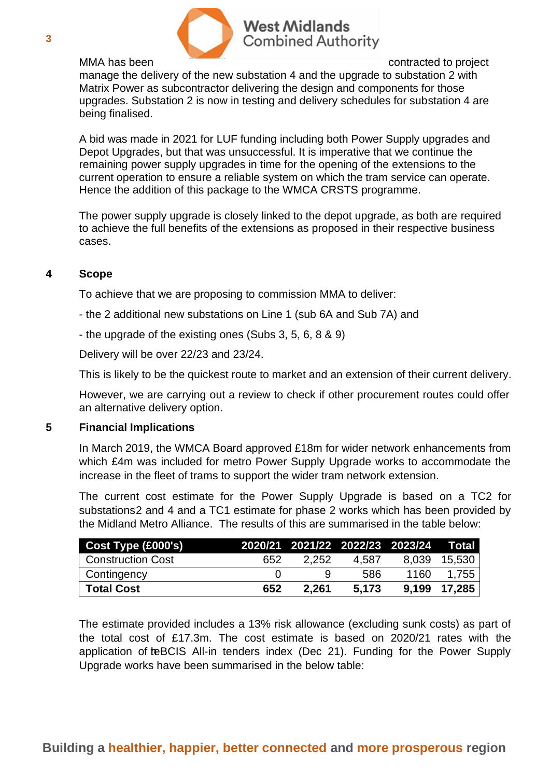

# **West Midlands Combined Authority**

MMA has been contracted to project

manage the delivery of the new substation 4 and the upgrade to substation 2 with Matrix Power as subcontractor delivering the design and components for those upgrades. Substation 2 is now in testing and delivery schedules for substation 4 are being finalised.

A bid was made in 2021 for LUF funding including both Power Supply upgrades and Depot Upgrades, but that was unsuccessful. It is imperative that we continue the remaining power supply upgrades in time for the opening of the extensions to the current operation to ensure a reliable system on which the tram service can operate. Hence the addition of this package to the WMCA CRSTS programme.

The power supply upgrade is closely linked to the depot upgrade, as both are required to achieve the full benefits of the extensions as proposed in their respective business cases.

# **4 Scope**

To achieve that we are proposing to commission MMA to deliver:

- the 2 additional new substations on Line 1 (sub 6A and Sub 7A) and
- the upgrade of the existing ones (Subs 3, 5, 6, 8 & 9)

Delivery will be over 22/23 and 23/24.

This is likely to be the quickest route to market and an extension of their current delivery.

However, we are carrying out a review to check if other procurement routes could offer an alternative delivery option.

## **5 Financial Implications**

In March 2019, the WMCA Board approved £18m for wider network enhancements from which £4m was included for metro Power Supply Upgrade works to accommodate the increase in the fleet of trams to support the wider tram network extension.

The current cost estimate for the Power Supply Upgrade is based on a TC2 for substations2 and 4 and a TC1 estimate for phase 2 works which has been provided by the Midland Metro Alliance. The results of this are summarised in the table below:

| Cost Type (£000's)       |     | 2020/21 2021/22 2022/23 2023/24 |       |       | <b>Total</b> |
|--------------------------|-----|---------------------------------|-------|-------|--------------|
| <b>Construction Cost</b> | 652 | 2.252                           | 4.587 | 8,039 | 15,530       |
| Contingency              |     |                                 | 586   | 1160  | 1.755        |
| <b>Total Cost</b>        | 652 | 2.261                           | 5,173 | 9.199 | 17,285       |

The estimate provided includes a 13% risk allowance (excluding sunk costs) as part of the total cost of £17.3m. The cost estimate is based on 2020/21 rates with the application of teBCIS All-in tenders index (Dec 21). Funding for the Power Supply Upgrade works have been summarised in the below table: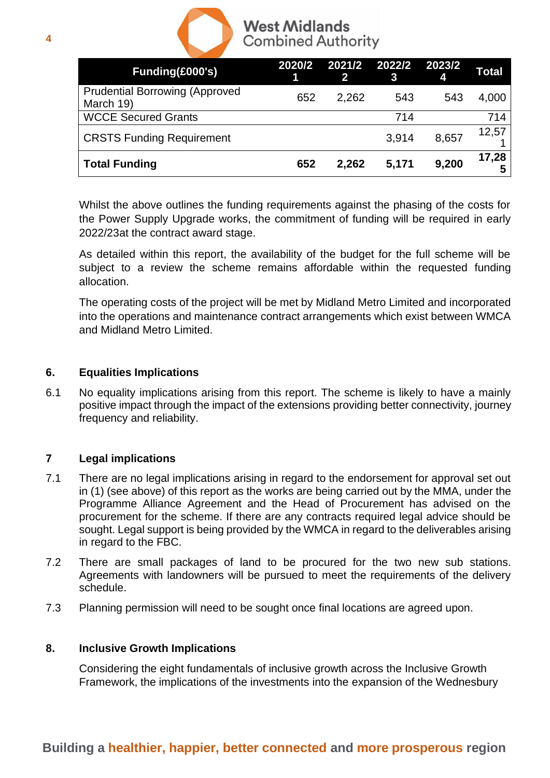

# **West Midlands Combined Authority**

| Funding(£000's)                                    | 2020/2 | 2021/2 2022/2<br>$\mathbf{2}$ | 3     | 2023/2<br>4 | <b>Total</b> |
|----------------------------------------------------|--------|-------------------------------|-------|-------------|--------------|
| <b>Prudential Borrowing (Approved</b><br>March 19) | 652    | 2,262                         | 543   | 543         | 4,000        |
| <b>WCCE Secured Grants</b>                         |        |                               | 714   |             | 714          |
| <b>CRSTS Funding Requirement</b>                   |        |                               | 3,914 | 8,657       | 12,57        |
| <b>Total Funding</b>                               | 652    | 2,262                         | 5,171 | 9,200       | 17,28        |

Whilst the above outlines the funding requirements against the phasing of the costs for the Power Supply Upgrade works, the commitment of funding will be required in early 2022/23at the contract award stage.

As detailed within this report, the availability of the budget for the full scheme will be subject to a review the scheme remains affordable within the requested funding allocation.

The operating costs of the project will be met by Midland Metro Limited and incorporated into the operations and maintenance contract arrangements which exist between WMCA and Midland Metro Limited.

# **6. Equalities Implications**

6.1 No equality implications arising from this report. The scheme is likely to have a mainly positive impact through the impact of the extensions providing better connectivity, journey frequency and reliability.

## **7 Legal implications**

- 7.1 There are no legal implications arising in regard to the endorsement for approval set out in (1) (see above) of this report as the works are being carried out by the MMA, under the Programme Alliance Agreement and the Head of Procurement has advised on the procurement for the scheme. If there are any contracts required legal advice should be sought. Legal support is being provided by the WMCA in regard to the deliverables arising in regard to the FBC.
- 7.2 There are small packages of land to be procured for the two new sub stations. Agreements with landowners will be pursued to meet the requirements of the delivery schedule.
- 7.3 Planning permission will need to be sought once final locations are agreed upon.

## **8. Inclusive Growth Implications**

Considering the eight fundamentals of inclusive growth across the Inclusive Growth Framework, the implications of the investments into the expansion of the Wednesbury